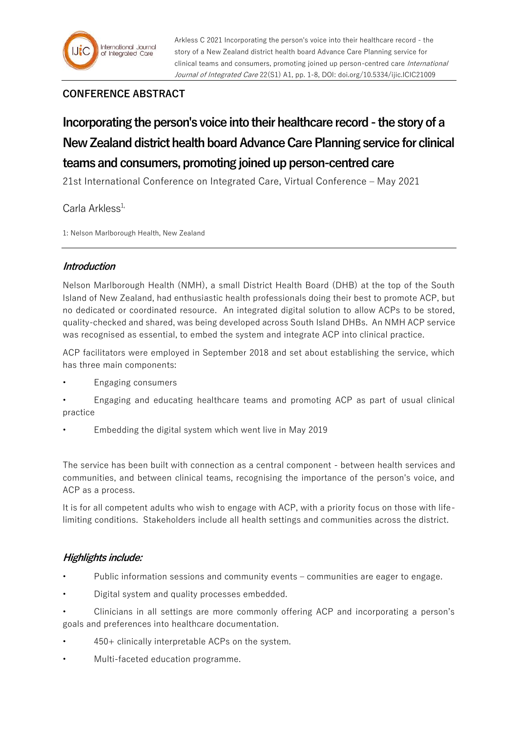# **CONFERENCE ABSTRACT**

**Incorporating the person's voice into their healthcare record - the story of a New Zealand district health board Advance Care Planning service for clinical teams and consumers, promoting joined up person-centred care** 

21st International Conference on Integrated Care, Virtual Conference – May 2021

# $C$ arla Arkless<sup>1,</sup>

1: Nelson Marlborough Health, New Zealand

## **Introduction**

Nelson Marlborough Health (NMH), a small District Health Board (DHB) at the top of the South Island of New Zealand, had enthusiastic health professionals doing their best to promote ACP, but no dedicated or coordinated resource. An integrated digital solution to allow ACPs to be stored, quality-checked and shared, was being developed across South Island DHBs. An NMH ACP service was recognised as essential, to embed the system and integrate ACP into clinical practice.

ACP facilitators were employed in September 2018 and set about establishing the service, which has three main components:

- Engaging consumers
- Engaging and educating healthcare teams and promoting ACP as part of usual clinical practice
- Embedding the digital system which went live in May 2019

The service has been built with connection as a central component - between health services and communities, and between clinical teams, recognising the importance of the person's voice, and ACP as a process.

It is for all competent adults who wish to engage with ACP, with a priority focus on those with lifelimiting conditions. Stakeholders include all health settings and communities across the district.

# **Highlights include:**

- Public information sessions and community events communities are eager to engage.
- Digital system and quality processes embedded.
- Clinicians in all settings are more commonly offering ACP and incorporating a person's goals and preferences into healthcare documentation.
- 450+ clinically interpretable ACPs on the system.
- Multi-faceted education programme.